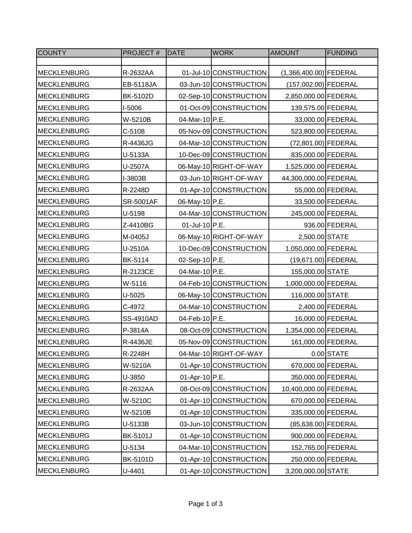| <b>COUNTY</b>      | PROJECT#  | <b>DATE</b>    | <b>WORK</b>            | <b>AMOUNT</b>            | <b>FUNDING</b>    |
|--------------------|-----------|----------------|------------------------|--------------------------|-------------------|
|                    |           |                |                        |                          |                   |
| <b>MECKLENBURG</b> | R-2632AA  |                | 01-Jul-10 CONSTRUCTION | $(1,366,400.00)$ FEDERAL |                   |
| <b>MECKLENBURG</b> | EB-5118JA |                | 03-Jun-10 CONSTRUCTION | (157,002.00) FEDERAL     |                   |
| <b>MECKLENBURG</b> | BK-5102D  |                | 02-Sep-10 CONSTRUCTION | 2,850,000.00 FEDERAL     |                   |
| <b>MECKLENBURG</b> | I-5006    |                | 01-Oct-09 CONSTRUCTION | 139,575.00 FEDERAL       |                   |
| <b>MECKLENBURG</b> | W-5210B   | 04-Mar-10 P.E. |                        |                          | 33,000.00 FEDERAL |
| <b>MECKLENBURG</b> | $C-5108$  |                | 05-Nov-09 CONSTRUCTION | 523,800.00 FEDERAL       |                   |
| <b>MECKLENBURG</b> | R-4436JG  |                | 04-Mar-10 CONSTRUCTION | (72,801.00) FEDERAL      |                   |
| <b>MECKLENBURG</b> | U-5133A   |                | 10-Dec-09 CONSTRUCTION | 835,000.00 FEDERAL       |                   |
| <b>MECKLENBURG</b> | U-2507A   |                | 06-May-10 RIGHT-OF-WAY | 1,525,000.00 FEDERAL     |                   |
| <b>MECKLENBURG</b> | I-3803B   |                | 03-Jun-10 RIGHT-OF-WAY | 44,300,000.00 FEDERAL    |                   |
| <b>MECKLENBURG</b> | R-2248D   |                | 01-Apr-10 CONSTRUCTION |                          | 55,000.00 FEDERAL |
| <b>MECKLENBURG</b> | SR-5001AF | 06-May-10 P.E. |                        |                          | 33,500.00 FEDERAL |
| <b>MECKLENBURG</b> | U-5198    |                | 04-Mar-10 CONSTRUCTION | 245,000.00 FEDERAL       |                   |
| <b>MECKLENBURG</b> | Z-4410BG  | 01-Jul-10 P.E. |                        |                          | 936.00 FEDERAL    |
| <b>MECKLENBURG</b> | M-0405J   |                | 06-May-10 RIGHT-OF-WAY | 2,500.00 STATE           |                   |
| <b>MECKLENBURG</b> | U-2510A   |                | 10-Dec-09 CONSTRUCTION | 1,050,000.00 FEDERAL     |                   |
| <b>MECKLENBURG</b> | BK-5114   | 02-Sep-10 P.E. |                        | (19,671.00) FEDERAL      |                   |
| <b>MECKLENBURG</b> | R-2123CE  | 04-Mar-10 P.E. |                        | 155,000.00 STATE         |                   |
| <b>MECKLENBURG</b> | W-5116    |                | 04-Feb-10 CONSTRUCTION | 1,000,000.00 FEDERAL     |                   |
| <b>MECKLENBURG</b> | U-5025    |                | 06-May-10 CONSTRUCTION | 116,000.00 STATE         |                   |
| <b>MECKLENBURG</b> | C-4972    |                | 04-Mar-10 CONSTRUCTION |                          | 2,400.00 FEDERAL  |
| <b>MECKLENBURG</b> | SS-4910AD | 04-Feb-10 P.E. |                        |                          | 16,000.00 FEDERAL |
| <b>MECKLENBURG</b> | P-3814A   |                | 08-Oct-09 CONSTRUCTION | 1,354,000.00 FEDERAL     |                   |
| <b>MECKLENBURG</b> | R-4436JE  |                | 05-Nov-09 CONSTRUCTION | 161,000.00 FEDERAL       |                   |
| <b>MECKLENBURG</b> | R-2248H   |                | 04-Mar-10 RIGHT-OF-WAY |                          | $0.00$ STATE      |
| <b>MECKLENBURG</b> | W-5210A   |                | 01-Apr-10 CONSTRUCTION | 670,000.00 FEDERAL       |                   |
| <b>MECKLENBURG</b> | U-3850    | 01-Apr-10 P.E. |                        | 350,000.00 FEDERAL       |                   |
| <b>MECKLENBURG</b> | R-2632AA  |                | 08-Oct-09 CONSTRUCTION | 10,400,000.00 FEDERAL    |                   |
| <b>MECKLENBURG</b> | W-5210C   |                | 01-Apr-10 CONSTRUCTION | 670,000.00 FEDERAL       |                   |
| <b>MECKLENBURG</b> | W-5210B   |                | 01-Apr-10 CONSTRUCTION | 335,000.00 FEDERAL       |                   |
| <b>MECKLENBURG</b> | U-5133B   |                | 03-Jun-10 CONSTRUCTION | (85,638.00) FEDERAL      |                   |
| <b>MECKLENBURG</b> | BK-5101J  |                | 01-Apr-10 CONSTRUCTION | 900,000.00 FEDERAL       |                   |
| <b>MECKLENBURG</b> | U-5134    |                | 04-Mar-10 CONSTRUCTION | 152,765.00 FEDERAL       |                   |
| <b>MECKLENBURG</b> | BK-5101D  |                | 01-Apr-10 CONSTRUCTION | 250,000.00 FEDERAL       |                   |
| <b>MECKLENBURG</b> | U-4401    |                | 01-Apr-10 CONSTRUCTION | 3,200,000.00 STATE       |                   |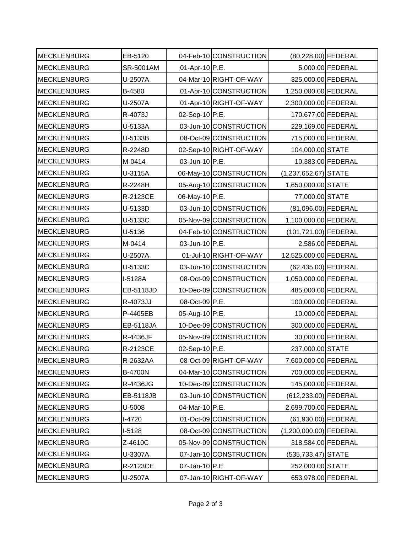| <b>MECKLENBURG</b> | EB-5120        |                | 04-Feb-10 CONSTRUCTION | (80,228.00) FEDERAL    |                   |
|--------------------|----------------|----------------|------------------------|------------------------|-------------------|
| <b>MECKLENBURG</b> | SR-5001AM      | 01-Apr-10 P.E. |                        |                        | 5,000.00 FEDERAL  |
| <b>MECKLENBURG</b> | U-2507A        |                | 04-Mar-10 RIGHT-OF-WAY | 325,000.00 FEDERAL     |                   |
| <b>MECKLENBURG</b> | B-4580         |                | 01-Apr-10 CONSTRUCTION | 1,250,000.00 FEDERAL   |                   |
| <b>MECKLENBURG</b> | U-2507A        |                | 01-Apr-10 RIGHT-OF-WAY | 2,300,000.00 FEDERAL   |                   |
| <b>MECKLENBURG</b> | R-4073J        | 02-Sep-10 P.E. |                        | 170,677.00 FEDERAL     |                   |
| <b>MECKLENBURG</b> | U-5133A        |                | 03-Jun-10 CONSTRUCTION | 229,169.00 FEDERAL     |                   |
| <b>MECKLENBURG</b> | U-5133B        |                | 08-Oct-09 CONSTRUCTION | 715,000.00 FEDERAL     |                   |
| <b>MECKLENBURG</b> | R-2248D        |                | 02-Sep-10 RIGHT-OF-WAY | 104,000.00 STATE       |                   |
| <b>MECKLENBURG</b> | M-0414         | 03-Jun-10 P.E. |                        |                        | 10,383.00 FEDERAL |
| <b>MECKLENBURG</b> | U-3115A        |                | 06-May-10 CONSTRUCTION | $(1,237,652.67)$ STATE |                   |
| <b>MECKLENBURG</b> | R-2248H        |                | 05-Aug-10 CONSTRUCTION | 1,650,000.00 STATE     |                   |
| <b>MECKLENBURG</b> | R-2123CE       | 06-May-10 P.E. |                        | 77,000.00 STATE        |                   |
| <b>MECKLENBURG</b> | U-5133D        |                | 03-Jun-10 CONSTRUCTION | (81,096.00) FEDERAL    |                   |
| <b>MECKLENBURG</b> | U-5133C        |                | 05-Nov-09 CONSTRUCTION | 1,100,000.00 FEDERAL   |                   |
| <b>MECKLENBURG</b> | U-5136         |                | 04-Feb-10 CONSTRUCTION | (101,721.00) FEDERAL   |                   |
| <b>MECKLENBURG</b> | M-0414         | 03-Jun-10 P.E. |                        |                        | 2,586.00 FEDERAL  |
| <b>MECKLENBURG</b> | U-2507A        |                | 01-Jul-10 RIGHT-OF-WAY | 12,525,000.00 FEDERAL  |                   |
| <b>MECKLENBURG</b> | U-5133C        |                | 03-Jun-10 CONSTRUCTION | (62,435.00) FEDERAL    |                   |
| <b>MECKLENBURG</b> | I-5128A        |                | 08-Oct-09 CONSTRUCTION | 1,050,000.00 FEDERAL   |                   |
| <b>MECKLENBURG</b> | EB-5118JD      |                | 10-Dec-09 CONSTRUCTION | 485,000.00 FEDERAL     |                   |
| <b>MECKLENBURG</b> | R-4073JJ       | 08-Oct-09 P.E. |                        | 100,000.00 FEDERAL     |                   |
| <b>MECKLENBURG</b> | P-4405EB       | 05-Aug-10 P.E. |                        |                        | 10,000.00 FEDERAL |
| <b>MECKLENBURG</b> | EB-5118JA      |                | 10-Dec-09 CONSTRUCTION | 300,000.00 FEDERAL     |                   |
| <b>MECKLENBURG</b> | R-4436JF       |                | 05-Nov-09 CONSTRUCTION |                        | 30,000.00 FEDERAL |
| <b>MECKLENBURG</b> | R-2123CE       | 02-Sep-10 P.E. |                        | 237,000.00 STATE       |                   |
| <b>MECKLENBURG</b> | R-2632AA       |                | 08-Oct-09 RIGHT-OF-WAY | 7,600,000.00 FEDERAL   |                   |
| <b>MECKLENBURG</b> | <b>B-4700N</b> |                | 04-Mar-10 CONSTRUCTION | 700,000.00 FEDERAL     |                   |
| <b>MECKLENBURG</b> | R-4436JG       |                | 10-Dec-09 CONSTRUCTION | 145,000.00 FEDERAL     |                   |
| <b>MECKLENBURG</b> | EB-5118JB      |                | 03-Jun-10 CONSTRUCTION | (612,233.00) FEDERAL   |                   |
| <b>MECKLENBURG</b> | U-5008         | 04-Mar-10 P.E. |                        | 2,699,700.00 FEDERAL   |                   |
| <b>MECKLENBURG</b> | <b>I-4720</b>  |                | 01-Oct-09 CONSTRUCTION | (61,930.00) FEDERAL    |                   |
| <b>MECKLENBURG</b> | $I-5128$       |                | 08-Oct-09 CONSTRUCTION | (1,200,000.00) FEDERAL |                   |
| <b>MECKLENBURG</b> | Z-4610C        |                | 05-Nov-09 CONSTRUCTION | 318,584.00 FEDERAL     |                   |
| <b>MECKLENBURG</b> | U-3307A        |                | 07-Jan-10 CONSTRUCTION | (535,733.47) STATE     |                   |
| <b>MECKLENBURG</b> | R-2123CE       | 07-Jan-10 P.E. |                        | 252,000.00 STATE       |                   |
| <b>MECKLENBURG</b> | U-2507A        |                | 07-Jan-10 RIGHT-OF-WAY | 653,978.00 FEDERAL     |                   |